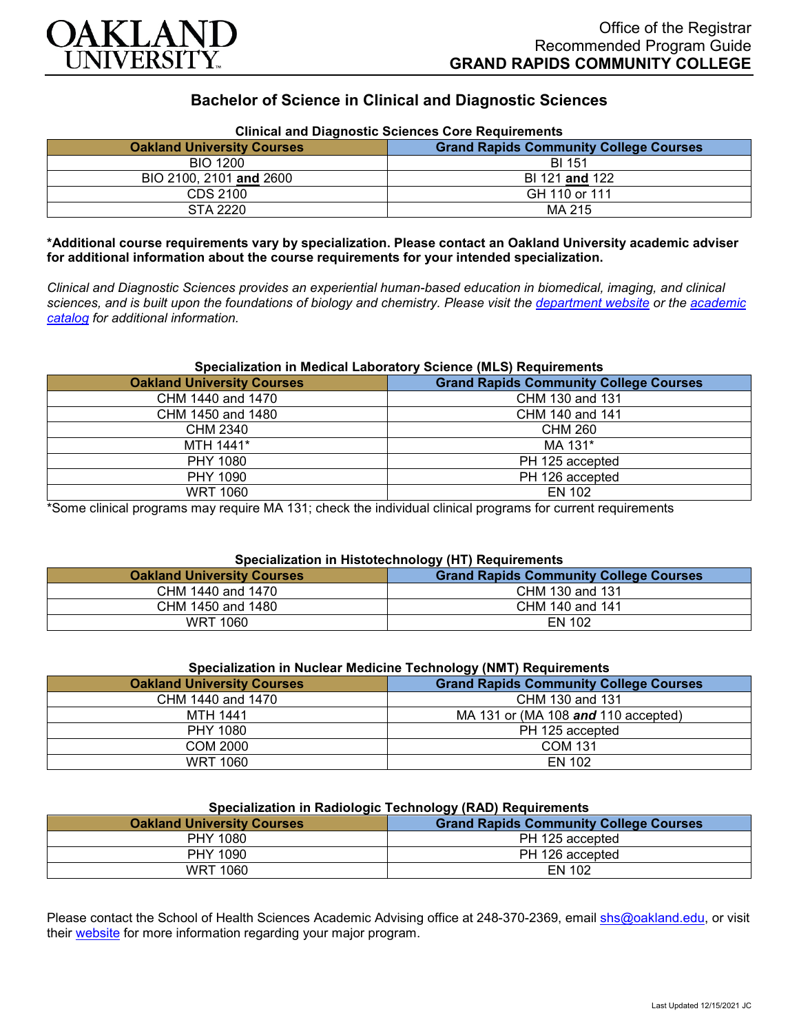

# **Bachelor of Science in Clinical and Diagnostic Sciences**

| Clinical and Diagnostic Sciences Core Requirements |                                               |
|----------------------------------------------------|-----------------------------------------------|
| <b>Oakland University Courses</b>                  | <b>Grand Rapids Community College Courses</b> |
| <b>BIO 1200</b>                                    | <b>BI 151</b>                                 |
| BIO 2100, 2101 and 2600                            | BI 121 and 122                                |
| CDS 2100                                           | GH 110 or 111                                 |
| STA 2220                                           | MA 215                                        |

## **Clinical and Diagnostic Sciences Core Requirements**

**\*Additional course requirements vary by specialization. Please contact an Oakland University academic adviser for additional information about the course requirements for your intended specialization.**

*Clinical and Diagnostic Sciences provides an experiential human-based education in biomedical, imaging, and clinical sciences, and is built upon the foundations of biology and chemistry. Please visit the [department website](https://www.oakland.edu/shs/clinical-and-diagnostic-sciences/) or the [academic](http://catalog.oakland.edu/preview_program.php?catoid=53&poid=8663)  [catalog](http://catalog.oakland.edu/preview_program.php?catoid=53&poid=8663) for additional information.*

#### **Specialization in Medical Laboratory Science (MLS) Requirements**

| <b>Oakland University Courses</b> | <b>Grand Rapids Community College Courses</b> |
|-----------------------------------|-----------------------------------------------|
| CHM 1440 and 1470                 | CHM 130 and 131                               |
| CHM 1450 and 1480                 | CHM 140 and 141                               |
| CHM 2340                          | CHM 260                                       |
| MTH 1441*                         | MA 131*                                       |
| PHY 1080                          | PH 125 accepted                               |
| PHY 1090                          | PH 126 accepted                               |
| <b>WRT 1060</b>                   | EN 102                                        |

\*Some clinical programs may require MA 131; check the individual clinical programs for current requirements

### **Specialization in Histotechnology (HT) Requirements**

| <b>Oakland University Courses</b> | <b>Grand Rapids Community College Courses</b> |
|-----------------------------------|-----------------------------------------------|
| CHM 1440 and 1470                 | CHM 130 and 131                               |
| CHM 1450 and 1480                 | CHM 140 and 141                               |
| WRT 1060                          | EN 102                                        |

## **Specialization in Nuclear Medicine Technology (NMT) Requirements**

| <b>Oakland University Courses</b> | <b>Grand Rapids Community College Courses</b> |
|-----------------------------------|-----------------------------------------------|
| CHM 1440 and 1470                 | CHM 130 and 131                               |
| <b>MTH 1441</b>                   | MA 131 or (MA 108 and 110 accepted)           |
| PHY 1080                          | PH 125 accepted                               |
| COM 2000                          | <b>COM 131</b>                                |
| <b>WRT 1060</b>                   | <b>EN 102</b>                                 |

#### **Specialization in Radiologic Technology (RAD) Requirements**

| <b>Oakland University Courses</b> | <b>Grand Rapids Community College Courses</b> |
|-----------------------------------|-----------------------------------------------|
| PHY 1080                          | PH 125 accepted                               |
| PHY 1090                          | PH 126 accepted                               |
| WRT 1060                          | EN 102                                        |

Please contact the School of Health Sciences Academic Advising office at 248-370-2369, email [shs@oakland.edu,](mailto:shs@oakland.edu) or visit their [website](http://www.oakland.edu/shs/advising) for more information regarding your major program.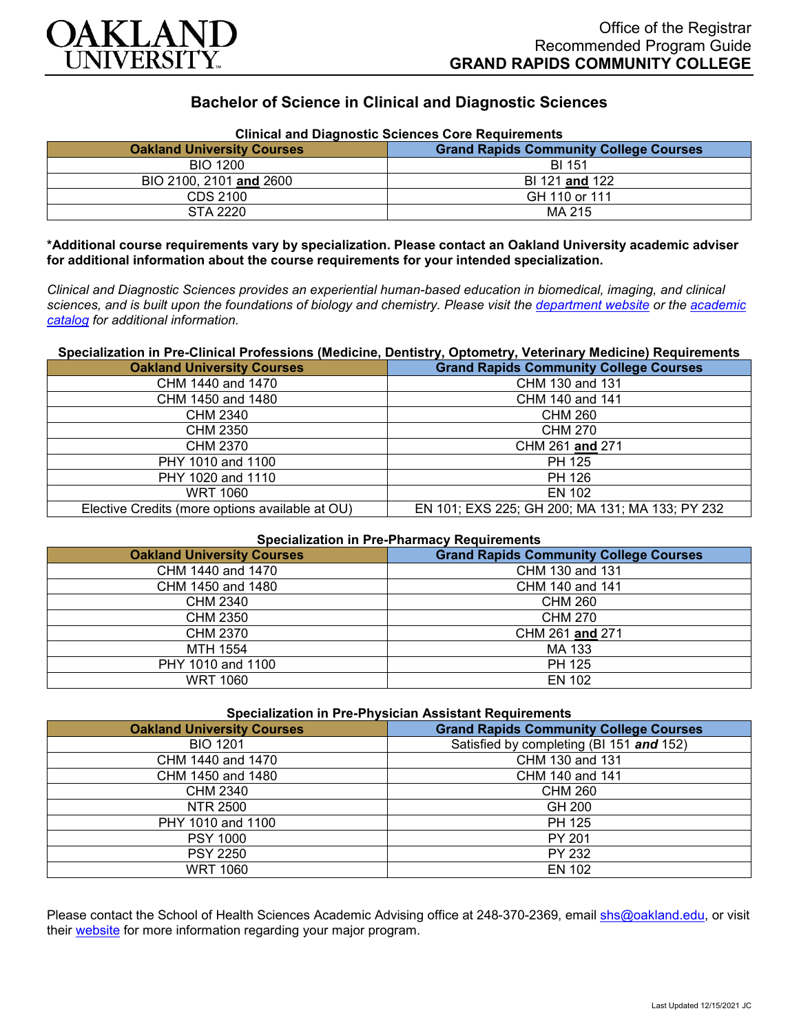

# **Bachelor of Science in Clinical and Diagnostic Sciences**

| Clinical and Diagnostic Sciences Core Requirements |                                               |
|----------------------------------------------------|-----------------------------------------------|
| <b>Oakland University Courses</b>                  | <b>Grand Rapids Community College Courses</b> |
| <b>BIO 1200</b>                                    | BI 151                                        |
| BIO 2100, 2101 and 2600                            | BI 121 and 122                                |
| CDS 2100                                           | GH 110 or 111                                 |
| STA 2220                                           | MA 215                                        |

**Clinical and Diagnostic Sciences Core Requirements**

**\*Additional course requirements vary by specialization. Please contact an Oakland University academic adviser for additional information about the course requirements for your intended specialization.**

*Clinical and Diagnostic Sciences provides an experiential human-based education in biomedical, imaging, and clinical sciences, and is built upon the foundations of biology and chemistry. Please visit the [department website](https://www.oakland.edu/shs/clinical-and-diagnostic-sciences/) or the [academic](http://catalog.oakland.edu/preview_program.php?catoid=53&poid=8663)  [catalog](http://catalog.oakland.edu/preview_program.php?catoid=53&poid=8663) for additional information.*

### **Specialization in Pre-Clinical Professions (Medicine, Dentistry, Optometry, Veterinary Medicine) Requirements**

| <b>Oakland University Courses</b>               | <b>Grand Rapids Community College Courses</b>   |
|-------------------------------------------------|-------------------------------------------------|
| CHM 1440 and 1470                               | CHM 130 and 131                                 |
| CHM 1450 and 1480                               | CHM 140 and 141                                 |
| CHM 2340                                        | <b>CHM 260</b>                                  |
| <b>CHM 2350</b>                                 | <b>CHM 270</b>                                  |
| <b>CHM 2370</b>                                 | CHM 261 and 271                                 |
| PHY 1010 and 1100                               | PH 125                                          |
| PHY 1020 and 1110                               | PH 126                                          |
| <b>WRT 1060</b>                                 | EN 102                                          |
| Elective Credits (more options available at OU) | EN 101; EXS 225; GH 200; MA 131; MA 133; PY 232 |

## **Specialization in Pre-Pharmacy Requirements**

| <b>Oakland University Courses</b> | <b>Grand Rapids Community College Courses</b> |
|-----------------------------------|-----------------------------------------------|
| CHM 1440 and 1470                 | CHM 130 and 131                               |
| CHM 1450 and 1480                 | CHM 140 and 141                               |
| CHM 2340                          | CHM 260                                       |
| CHM 2350                          | CHM 270                                       |
| CHM 2370                          | CHM 261 and 271                               |
| MTH 1554                          | MA 133                                        |
| PHY 1010 and 1100                 | PH 125                                        |
| <b>WRT 1060</b>                   | EN 102                                        |

| <b>Specialization in Pre-Physician Assistant Requirements</b> |                                               |
|---------------------------------------------------------------|-----------------------------------------------|
| <b>Oakland University Courses</b>                             | <b>Grand Rapids Community College Courses</b> |
| <b>BIO 1201</b>                                               | Satisfied by completing (BI 151 and 152)      |
| CHM 1440 and 1470                                             | CHM 130 and 131                               |
| CHM 1450 and 1480                                             | CHM 140 and 141                               |
| CHM 2340                                                      | <b>CHM 260</b>                                |
| NTR 2500                                                      | GH 200                                        |
| PHY 1010 and 1100                                             | PH 125                                        |
| <b>PSY 1000</b>                                               | PY 201                                        |
| <b>PSY 2250</b>                                               | PY 232                                        |
| <b>WRT 1060</b>                                               | EN 102                                        |

Please contact the School of Health Sciences Academic Advising office at 248-370-2369, email [shs@oakland.edu,](mailto:shs@oakland.edu) or visit their [website](http://www.oakland.edu/shs/advising) for more information regarding your major program.